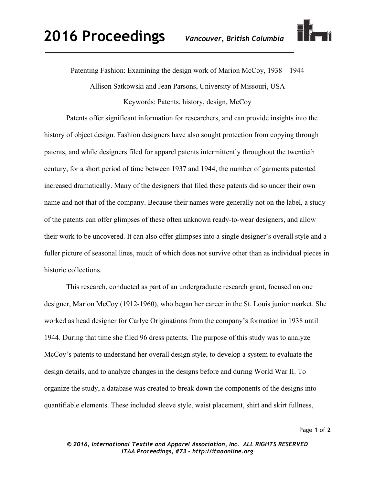

Patenting Fashion: Examining the design work of Marion McCoy, 1938 – 1944

Allison Satkowski and Jean Parsons, University of Missouri, USA

Keywords: Patents, history, design, McCoy

Patents offer significant information for researchers, and can provide insights into the history of object design. Fashion designers have also sought protection from copying through patents, and while designers filed for apparel patents intermittently throughout the twentieth century, for a short period of time between 1937 and 1944, the number of garments patented increased dramatically. Many of the designers that filed these patents did so under their own name and not that of the company. Because their names were generally not on the label, a study of the patents can offer glimpses of these often unknown ready-to-wear designers, and allow their work to be uncovered. It can also offer glimpses into a single designer's overall style and a fuller picture of seasonal lines, much of which does not survive other than as individual pieces in historic collections.

This research, conducted as part of an undergraduate research grant, focused on one designer, Marion McCoy (1912-1960), who began her career in the St. Louis junior market. She worked as head designer for Carlye Originations from the company's formation in 1938 until 1944. During that time she filed 96 dress patents. The purpose of this study was to analyze McCoy's patents to understand her overall design style, to develop a system to evaluate the design details, and to analyze changes in the designs before and during World War II. To organize the study, a database was created to break down the components of the designs into quantifiable elements. These included sleeve style, waist placement, shirt and skirt fullness,